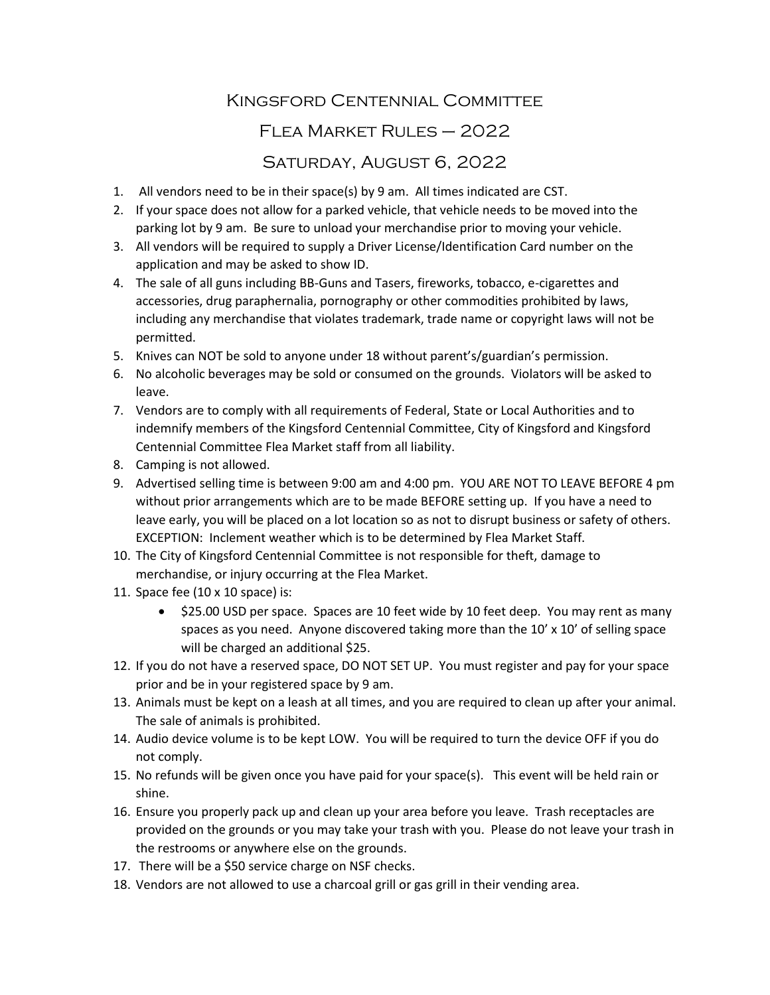## Kingsford Centennial Committee Flea Market Rules – 2022

## Saturday, August 6, 2022

- 1. All vendors need to be in their space(s) by 9 am. All times indicated are CST.
- 2. If your space does not allow for a parked vehicle, that vehicle needs to be moved into the parking lot by 9 am. Be sure to unload your merchandise prior to moving your vehicle.
- 3. All vendors will be required to supply a Driver License/Identification Card number on the application and may be asked to show ID.
- 4. The sale of all guns including BB-Guns and Tasers, fireworks, tobacco, e-cigarettes and accessories, drug paraphernalia, pornography or other commodities prohibited by laws, including any merchandise that violates trademark, trade name or copyright laws will not be permitted.
- 5. Knives can NOT be sold to anyone under 18 without parent's/guardian's permission.
- 6. No alcoholic beverages may be sold or consumed on the grounds. Violators will be asked to leave.
- 7. Vendors are to comply with all requirements of Federal, State or Local Authorities and to indemnify members of the Kingsford Centennial Committee, City of Kingsford and Kingsford Centennial Committee Flea Market staff from all liability.
- 8. Camping is not allowed.
- 9. Advertised selling time is between 9:00 am and 4:00 pm. YOU ARE NOT TO LEAVE BEFORE 4 pm without prior arrangements which are to be made BEFORE setting up. If you have a need to leave early, you will be placed on a lot location so as not to disrupt business or safety of others. EXCEPTION: Inclement weather which is to be determined by Flea Market Staff.
- 10. The City of Kingsford Centennial Committee is not responsible for theft, damage to merchandise, or injury occurring at the Flea Market.
- 11. Space fee (10  $\times$  10 space) is:
	- \$25.00 USD per space. Spaces are 10 feet wide by 10 feet deep. You may rent as many spaces as you need. Anyone discovered taking more than the  $10' \times 10'$  of selling space will be charged an additional \$25.
- 12. If you do not have a reserved space, DO NOT SET UP. You must register and pay for your space prior and be in your registered space by 9 am.
- 13. Animals must be kept on a leash at all times, and you are required to clean up after your animal. The sale of animals is prohibited.
- 14. Audio device volume is to be kept LOW. You will be required to turn the device OFF if you do not comply.
- 15. No refunds will be given once you have paid for your space(s). This event will be held rain or shine.
- 16. Ensure you properly pack up and clean up your area before you leave. Trash receptacles are provided on the grounds or you may take your trash with you. Please do not leave your trash in the restrooms or anywhere else on the grounds.
- 17. There will be a \$50 service charge on NSF checks.
- 18. Vendors are not allowed to use a charcoal grill or gas grill in their vending area.